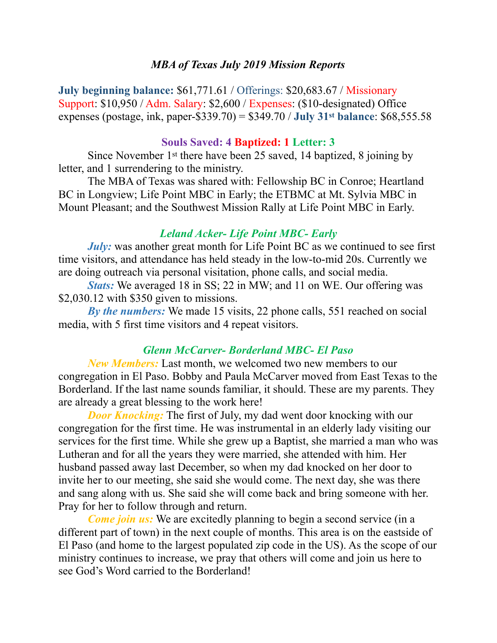#### *MBA of Texas July 2019 Mission Reports*

**July beginning balance:** \$61,771.61 / Offerings: \$20,683.67 / Missionary Support: \$10,950 / Adm. Salary: \$2,600 / Expenses: (\$10-designated) Office expenses (postage, ink, paper-\$339.70) = \$349.70 / **July 31st balance**: \$68,555.58

#### **Souls Saved: 4 Baptized: 1 Letter: 3**

 Since November 1st there have been 25 saved, 14 baptized, 8 joining by letter, and 1 surrendering to the ministry.

 The MBA of Texas was shared with: Fellowship BC in Conroe; Heartland BC in Longview; Life Point MBC in Early; the ETBMC at Mt. Sylvia MBC in Mount Pleasant; and the Southwest Mission Rally at Life Point MBC in Early.

# *Leland Acker- Life Point MBC- Early*

*July:* was another great month for Life Point BC as we continued to see first time visitors, and attendance has held steady in the low-to-mid 20s. Currently we are doing outreach via personal visitation, phone calls, and social media.

*Stats:* We averaged 18 in SS; 22 in MW; and 11 on WE. Our offering was \$2,030.12 with \$350 given to missions.

*By the numbers:* We made 15 visits, 22 phone calls, 551 reached on social media, with 5 first time visitors and 4 repeat visitors.

# *Glenn McCarver- Borderland MBC- El Paso*

*New Members:* Last month, we welcomed two new members to our congregation in El Paso. Bobby and Paula McCarver moved from East Texas to the Borderland. If the last name sounds familiar, it should. These are my parents. They are already a great blessing to the work here!

*Door Knocking:* The first of July, my dad went door knocking with our congregation for the first time. He was instrumental in an elderly lady visiting our services for the first time. While she grew up a Baptist, she married a man who was Lutheran and for all the years they were married, she attended with him. Her husband passed away last December, so when my dad knocked on her door to invite her to our meeting, she said she would come. The next day, she was there and sang along with us. She said she will come back and bring someone with her. Pray for her to follow through and return.

*Come join us:* We are excitedly planning to begin a second service (in a different part of town) in the next couple of months. This area is on the eastside of El Paso (and home to the largest populated zip code in the US). As the scope of our ministry continues to increase, we pray that others will come and join us here to see God's Word carried to the Borderland!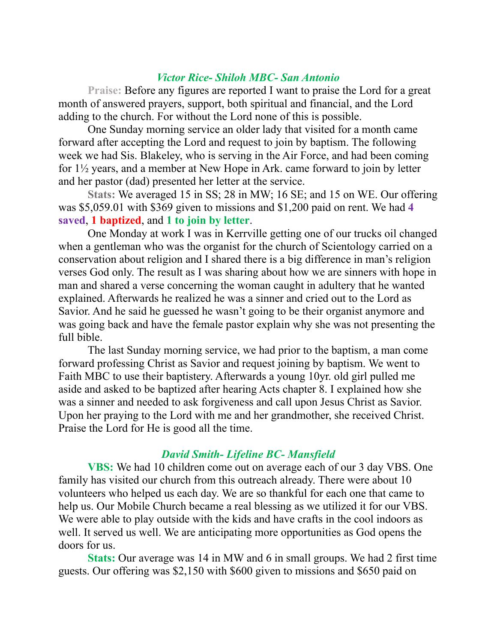# *Victor Rice- Shiloh MBC- San Antonio*

**Praise:** Before any figures are reported I want to praise the Lord for a great month of answered prayers, support, both spiritual and financial, and the Lord adding to the church. For without the Lord none of this is possible.

 One Sunday morning service an older lady that visited for a month came forward after accepting the Lord and request to join by baptism. The following week we had Sis. Blakeley, who is serving in the Air Force, and had been coming for 1½ years, and a member at New Hope in Ark. came forward to join by letter and her pastor (dad) presented her letter at the service.

**Stats:** We averaged 15 in SS; 28 in MW; 16 SE; and 15 on WE. Our offering was \$5,059.01 with \$369 given to missions and \$1,200 paid on rent. We had **4 saved**, **1 baptized**, and **1 to join by letter**.

 One Monday at work I was in Kerrville getting one of our trucks oil changed when a gentleman who was the organist for the church of Scientology carried on a conservation about religion and I shared there is a big difference in man's religion verses God only. The result as I was sharing about how we are sinners with hope in man and shared a verse concerning the woman caught in adultery that he wanted explained. Afterwards he realized he was a sinner and cried out to the Lord as Savior. And he said he guessed he wasn't going to be their organist anymore and was going back and have the female pastor explain why she was not presenting the full bible.

 The last Sunday morning service, we had prior to the baptism, a man come forward professing Christ as Savior and request joining by baptism. We went to Faith MBC to use their baptistery. Afterwards a young 10yr. old girl pulled me aside and asked to be baptized after hearing Acts chapter 8. I explained how she was a sinner and needed to ask forgiveness and call upon Jesus Christ as Savior. Upon her praying to the Lord with me and her grandmother, she received Christ. Praise the Lord for He is good all the time.

# *David Smith- Lifeline BC- Mansfield*

**VBS:** We had 10 children come out on average each of our 3 day VBS. One family has visited our church from this outreach already. There were about 10 volunteers who helped us each day. We are so thankful for each one that came to help us. Our Mobile Church became a real blessing as we utilized it for our VBS. We were able to play outside with the kids and have crafts in the cool indoors as well. It served us well. We are anticipating more opportunities as God opens the doors for us.

**Stats:** Our average was 14 in MW and 6 in small groups. We had 2 first time guests. Our offering was \$2,150 with \$600 given to missions and \$650 paid on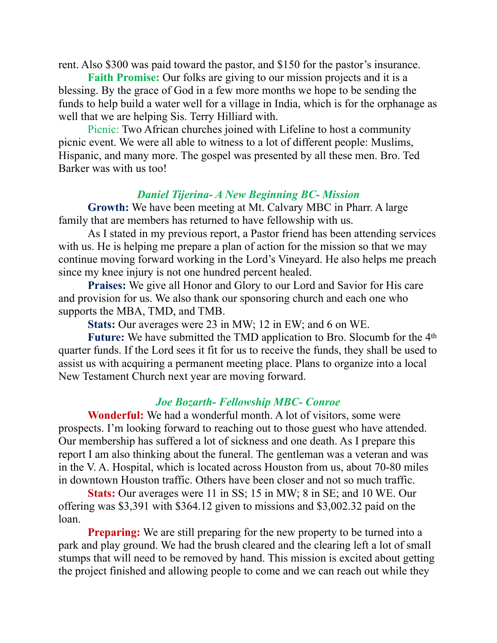rent. Also \$300 was paid toward the pastor, and \$150 for the pastor's insurance.

**Faith Promise:** Our folks are giving to our mission projects and it is a blessing. By the grace of God in a few more months we hope to be sending the funds to help build a water well for a village in India, which is for the orphanage as well that we are helping Sis. Terry Hilliard with.

Picnic: Two African churches joined with Lifeline to host a community picnic event. We were all able to witness to a lot of different people: Muslims, Hispanic, and many more. The gospel was presented by all these men. Bro. Ted Barker was with us too!

# *Daniel Tijerina- A New Beginning BC- Mission*

**Growth:** We have been meeting at Mt. Calvary MBC in Pharr. A large family that are members has returned to have fellowship with us.

 As I stated in my previous report, a Pastor friend has been attending services with us. He is helping me prepare a plan of action for the mission so that we may continue moving forward working in the Lord's Vineyard. He also helps me preach since my knee injury is not one hundred percent healed.

**Praises:** We give all Honor and Glory to our Lord and Savior for His care and provision for us. We also thank our sponsoring church and each one who supports the MBA, TMD, and TMB.

**Stats:** Our averages were 23 in MW; 12 in EW; and 6 on WE.

**Future:** We have submitted the TMD application to Bro. Slocumb for the 4th quarter funds. If the Lord sees it fit for us to receive the funds, they shall be used to assist us with acquiring a permanent meeting place. Plans to organize into a local New Testament Church next year are moving forward.

# *Joe Bozarth- Fellowship MBC- Conroe*

**Wonderful:** We had a wonderful month. A lot of visitors, some were prospects. I'm looking forward to reaching out to those guest who have attended. Our membership has suffered a lot of sickness and one death. As I prepare this report I am also thinking about the funeral. The gentleman was a veteran and was in the V. A. Hospital, which is located across Houston from us, about 70-80 miles in downtown Houston traffic. Others have been closer and not so much traffic.

**Stats:** Our averages were 11 in SS; 15 in MW; 8 in SE; and 10 WE. Our offering was \$3,391 with \$364.12 given to missions and \$3,002.32 paid on the loan.

**Preparing:** We are still preparing for the new property to be turned into a park and play ground. We had the brush cleared and the clearing left a lot of small stumps that will need to be removed by hand. This mission is excited about getting the project finished and allowing people to come and we can reach out while they